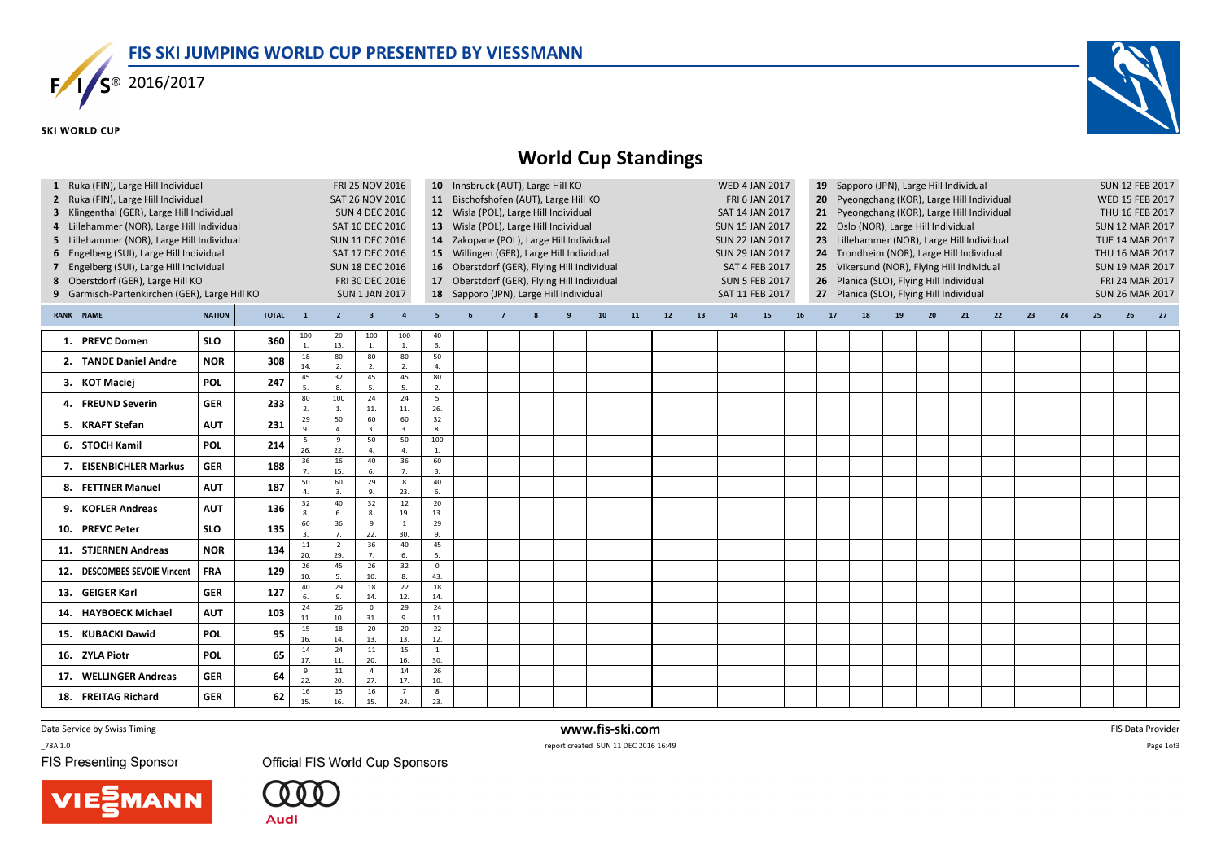

## **SKI WORLD CUP**



## World Cup Standings

| $\mathbf{1}$                                                            | Ruka (FIN), Large Hill Individual           | FRI 25 NOV 2016 |                 | 19 Sapporo (JPN), Large Hill Individual<br>10 Innsbruck (AUT), Large Hill KO<br><b>WED 4 JAN 2017</b> |                       |                                       |                      |                                                                                         |                                                                                                                                                             |  |  |   |    |    |                |    |                        |    | <b>SUN 12 FEB 2017</b> |                                             |                                          |    |                        |                        |    |    |    |                        |                 |    |  |  |  |
|-------------------------------------------------------------------------|---------------------------------------------|-----------------|-----------------|-------------------------------------------------------------------------------------------------------|-----------------------|---------------------------------------|----------------------|-----------------------------------------------------------------------------------------|-------------------------------------------------------------------------------------------------------------------------------------------------------------|--|--|---|----|----|----------------|----|------------------------|----|------------------------|---------------------------------------------|------------------------------------------|----|------------------------|------------------------|----|----|----|------------------------|-----------------|----|--|--|--|
|                                                                         | Ruka (FIN), Large Hill Individual           |                 | SAT 26 NOV 2016 |                                                                                                       |                       | 11 Bischofshofen (AUT), Large Hill KO |                      |                                                                                         |                                                                                                                                                             |  |  |   |    |    | FRI 6 JAN 2017 |    | 20                     |    |                        |                                             | Pyeongchang (KOR), Large Hill Individual |    |                        | <b>WED 15 FEB 2017</b> |    |    |    |                        |                 |    |  |  |  |
| 3 Klingenthal (GER), Large Hill Individual<br><b>SUN 4 DEC 2016</b>     |                                             |                 |                 |                                                                                                       |                       |                                       |                      |                                                                                         | 12 Wisla (POL), Large Hill Individual                                                                                                                       |  |  |   |    |    |                |    | SAT 14 JAN 2017        |    |                        | 21 Pyeongchang (KOR), Large Hill Individual |                                          |    |                        |                        |    |    |    |                        | THU 16 FEB 2017 |    |  |  |  |
| 4 Lillehammer (NOR), Large Hill Individual<br>SAT 10 DEC 2016           |                                             |                 |                 |                                                                                                       |                       |                                       |                      |                                                                                         | 13 Wisla (POL), Large Hill Individual                                                                                                                       |  |  |   |    |    |                |    | <b>SUN 15 JAN 2017</b> |    |                        | 22 Oslo (NOR), Large Hill Individual        |                                          |    |                        |                        |    |    |    | <b>SUN 12 MAR 2017</b> |                 |    |  |  |  |
| Lillehammer (NOR), Large Hill Individual<br><b>SUN 11 DEC 2016</b><br>5 |                                             |                 |                 |                                                                                                       |                       |                                       |                      |                                                                                         | 14 Zakopane (POL), Large Hill Individual                                                                                                                    |  |  |   |    |    |                |    | <b>SUN 22 JAN 2017</b> |    |                        | 23 Lillehammer (NOR), Large Hill Individual |                                          |    |                        |                        |    |    |    | TUE 14 MAR 2017        |                 |    |  |  |  |
| 6                                                                       | Engelberg (SUI), Large Hill Individual      |                 |                 |                                                                                                       |                       | SAT 17 DEC 2016                       |                      |                                                                                         | 15 Willingen (GER), Large Hill Individual<br><b>SUN 29 JAN 2017</b><br>24 Trondheim (NOR), Large Hill Individual                                            |  |  |   |    |    |                |    |                        |    |                        |                                             |                                          |    | THU 16 MAR 2017        |                        |    |    |    |                        |                 |    |  |  |  |
|                                                                         | Engelberg (SUI), Large Hill Individual      |                 |                 |                                                                                                       |                       | <b>SUN 18 DEC 2016</b>                |                      | 16 Oberstdorf (GER), Flying Hill Individual<br><b>SAT 4 FEB 2017</b><br>25 <sub>2</sub> |                                                                                                                                                             |  |  |   |    |    |                |    |                        |    |                        |                                             |                                          |    | <b>SUN 19 MAR 2017</b> |                        |    |    |    |                        |                 |    |  |  |  |
|                                                                         | 8 Oberstdorf (GER), Large Hill KO           |                 |                 |                                                                                                       |                       | FRI 30 DEC 2016                       |                      |                                                                                         | Vikersund (NOR), Flying Hill Individual<br>17 Oberstdorf (GER), Flying Hill Individual<br>26 Planica (SLO), Flying Hill Individual<br><b>SUN 5 FEB 2017</b> |  |  |   |    |    |                |    |                        |    |                        |                                             |                                          |    | FRI 24 MAR 2017        |                        |    |    |    |                        |                 |    |  |  |  |
| 9                                                                       | Garmisch-Partenkirchen (GER), Large Hill KO |                 |                 |                                                                                                       |                       | <b>SUN 1 JAN 2017</b>                 |                      |                                                                                         | 18 Sapporo (JPN), Large Hill Individual<br>27 Planica (SLO), Flying Hill Individual<br>SAT 11 FEB 2017                                                      |  |  |   |    |    |                |    |                        |    |                        |                                             |                                          |    | <b>SUN 26 MAR 2017</b> |                        |    |    |    |                        |                 |    |  |  |  |
|                                                                         |                                             |                 |                 |                                                                                                       |                       |                                       |                      |                                                                                         |                                                                                                                                                             |  |  |   |    |    |                |    |                        |    |                        |                                             |                                          |    |                        |                        |    |    |    |                        |                 |    |  |  |  |
|                                                                         | <b>RANK NAME</b>                            | <b>NATION</b>   | <b>TOTAL</b>    | $\mathbf{1}$                                                                                          | $\overline{2}$        | $\overline{\mathbf{3}}$               |                      | -5                                                                                      |                                                                                                                                                             |  |  | g | 10 | 11 | 12             | 13 | 14                     | 15 | <b>16</b>              | 17                                          | 18                                       | 19 | 20                     | 21                     | 22 | 23 | 24 | 25                     | 26              | 27 |  |  |  |
|                                                                         | <b>PREVC Domen</b>                          | <b>SLO</b>      | 360             | 100<br>$\overline{1}$                                                                                 | 20<br>13.             | 100                                   | 100<br>1             | 40<br>6.                                                                                |                                                                                                                                                             |  |  |   |    |    |                |    |                        |    |                        |                                             |                                          |    |                        |                        |    |    |    |                        |                 |    |  |  |  |
|                                                                         | <b>TANDE Daniel Andre</b>                   | <b>NOR</b>      | 308             | 18<br>14.                                                                                             | 80<br>$\overline{2}$  | 80<br>$\overline{\phantom{a}}$        | 80<br>2.             | 50<br>4.                                                                                |                                                                                                                                                             |  |  |   |    |    |                |    |                        |    |                        |                                             |                                          |    |                        |                        |    |    |    |                        |                 |    |  |  |  |
|                                                                         |                                             |                 |                 | 45                                                                                                    | 32                    | 45                                    | 45                   | 80                                                                                      |                                                                                                                                                             |  |  |   |    |    |                |    |                        |    |                        |                                             |                                          |    |                        |                        |    |    |    |                        |                 |    |  |  |  |
| 3.                                                                      | <b>KOT Maciej</b>                           | <b>POL</b>      | 247             | 5.                                                                                                    | 8.                    | 5                                     | 5                    | 2.                                                                                      |                                                                                                                                                             |  |  |   |    |    |                |    |                        |    |                        |                                             |                                          |    |                        |                        |    |    |    |                        |                 |    |  |  |  |
|                                                                         | <b>FREUND Severin</b>                       | <b>GER</b>      | 233             | 80<br>$\overline{2}$                                                                                  | 100<br>$\overline{1}$ | 24<br>11.                             | 24<br>11.            | $\overline{5}$<br>26.                                                                   |                                                                                                                                                             |  |  |   |    |    |                |    |                        |    |                        |                                             |                                          |    |                        |                        |    |    |    |                        |                 |    |  |  |  |
| 5.                                                                      | <b>KRAFT Stefan</b>                         | <b>AUT</b>      | 231             | 29                                                                                                    | 50                    | 60                                    | 60                   | 32<br>8.                                                                                |                                                                                                                                                             |  |  |   |    |    |                |    |                        |    |                        |                                             |                                          |    |                        |                        |    |    |    |                        |                 |    |  |  |  |
| 6.                                                                      | <b>STOCH Kamil</b>                          | <b>POL</b>      | 214             | 5<br>26.                                                                                              | -9<br>22.             | 50<br>$\Delta$                        | 50<br>$\overline{a}$ | 100<br>$\mathbf{1}$ .                                                                   |                                                                                                                                                             |  |  |   |    |    |                |    |                        |    |                        |                                             |                                          |    |                        |                        |    |    |    |                        |                 |    |  |  |  |
|                                                                         | <b>EISENBICHLER Markus</b>                  | <b>GER</b>      | 188             | 36                                                                                                    | 16<br>15.             | 40<br>6                               | 36<br>$\overline{7}$ | 60<br>3.                                                                                |                                                                                                                                                             |  |  |   |    |    |                |    |                        |    |                        |                                             |                                          |    |                        |                        |    |    |    |                        |                 |    |  |  |  |
|                                                                         | <b>FETTNER Manuel</b>                       | <b>AUT</b>      | 187             | 50                                                                                                    | 60<br>$\overline{3}$  | 29<br>9                               | 8<br>23.             | 40<br>6.                                                                                |                                                                                                                                                             |  |  |   |    |    |                |    |                        |    |                        |                                             |                                          |    |                        |                        |    |    |    |                        |                 |    |  |  |  |
| q                                                                       | <b>KOFLER Andreas</b>                       | <b>AUT</b>      | 136             | 32                                                                                                    | 40<br>6               | 32<br>$\mathbf{R}$                    | 12<br>19.            | 20<br>13.                                                                               |                                                                                                                                                             |  |  |   |    |    |                |    |                        |    |                        |                                             |                                          |    |                        |                        |    |    |    |                        |                 |    |  |  |  |
| 10.                                                                     | <b>PREVC Peter</b>                          | <b>SLO</b>      | 135             | 60                                                                                                    | 36                    | 9<br>22.                              | $\mathbf{1}$<br>30.  | 29<br>9.                                                                                |                                                                                                                                                             |  |  |   |    |    |                |    |                        |    |                        |                                             |                                          |    |                        |                        |    |    |    |                        |                 |    |  |  |  |
| -11                                                                     | <b>STJERNEN Andreas</b>                     | <b>NOR</b>      | 134             | 11<br>20.                                                                                             | $\overline{2}$<br>29. | 36<br>$\overline{7}$                  | 40<br>6.             | 45<br>5.                                                                                |                                                                                                                                                             |  |  |   |    |    |                |    |                        |    |                        |                                             |                                          |    |                        |                        |    |    |    |                        |                 |    |  |  |  |
| -12                                                                     | <b>DESCOMBES SEVOIE Vincent</b>             | <b>FRA</b>      | 129             | 26<br>10.                                                                                             | 45                    | 26<br>10.                             | 32<br>8.             | $\mathbf 0$<br>43.                                                                      |                                                                                                                                                             |  |  |   |    |    |                |    |                        |    |                        |                                             |                                          |    |                        |                        |    |    |    |                        |                 |    |  |  |  |
| 13.                                                                     | <b>GEIGER Karl</b>                          | <b>GER</b>      | 127             | 40<br>6.                                                                                              | 29<br>$\mathbf{q}$    | 18<br>14.                             | 22<br>12.            | 18<br>14.                                                                               |                                                                                                                                                             |  |  |   |    |    |                |    |                        |    |                        |                                             |                                          |    |                        |                        |    |    |    |                        |                 |    |  |  |  |
| 14                                                                      | <b>HAYBOECK Michael</b>                     | <b>AUT</b>      | 103             | 24<br>11.                                                                                             | 26<br>10.             | $\mathbf 0$<br>31.                    | 29<br>9.             | 24<br>11.                                                                               |                                                                                                                                                             |  |  |   |    |    |                |    |                        |    |                        |                                             |                                          |    |                        |                        |    |    |    |                        |                 |    |  |  |  |
| 15.                                                                     | <b>KUBACKI Dawid</b>                        | <b>POL</b>      | 95              | 15<br>16.                                                                                             | 18<br>14.             | 20<br>13.                             | 20<br>13.            | 22<br>12.                                                                               |                                                                                                                                                             |  |  |   |    |    |                |    |                        |    |                        |                                             |                                          |    |                        |                        |    |    |    |                        |                 |    |  |  |  |
| 16.                                                                     | <b>ZYLA Piotr</b>                           | <b>POL</b>      | 65              | 14<br>17.                                                                                             | 24<br>11.             | 11<br>20.                             | 15<br>16.            | $\mathbf{1}$<br>30.                                                                     |                                                                                                                                                             |  |  |   |    |    |                |    |                        |    |                        |                                             |                                          |    |                        |                        |    |    |    |                        |                 |    |  |  |  |
| 17                                                                      | <b>WELLINGER Andreas</b>                    | <b>GER</b>      | 64              | - 9                                                                                                   | 11                    | $\overline{4}$                        | 14                   | 26<br>10.                                                                               |                                                                                                                                                             |  |  |   |    |    |                |    |                        |    |                        |                                             |                                          |    |                        |                        |    |    |    |                        |                 |    |  |  |  |
| 18.                                                                     | <b>FREITAG Richard</b>                      | <b>GER</b>      | 62              | 22.<br>16                                                                                             | 20.<br>15             | 27.<br>16                             | 17.                  | 8                                                                                       |                                                                                                                                                             |  |  |   |    |    |                |    |                        |    |                        |                                             |                                          |    |                        |                        |    |    |    |                        |                 |    |  |  |  |
|                                                                         |                                             |                 |                 | 15.                                                                                                   | 16.                   | 15.                                   | 24.                  | 23.                                                                                     |                                                                                                                                                             |  |  |   |    |    |                |    |                        |    |                        |                                             |                                          |    |                        |                        |    |    |    |                        |                 |    |  |  |  |

Data Service by Swiss Timing

\_78A 1.0

**FIS Presenting Sponsor** 

Official FIS World Cup Sponsors





report created SUN 11 DEC 2016 16:49

www.fis-ski.com

Page 1of3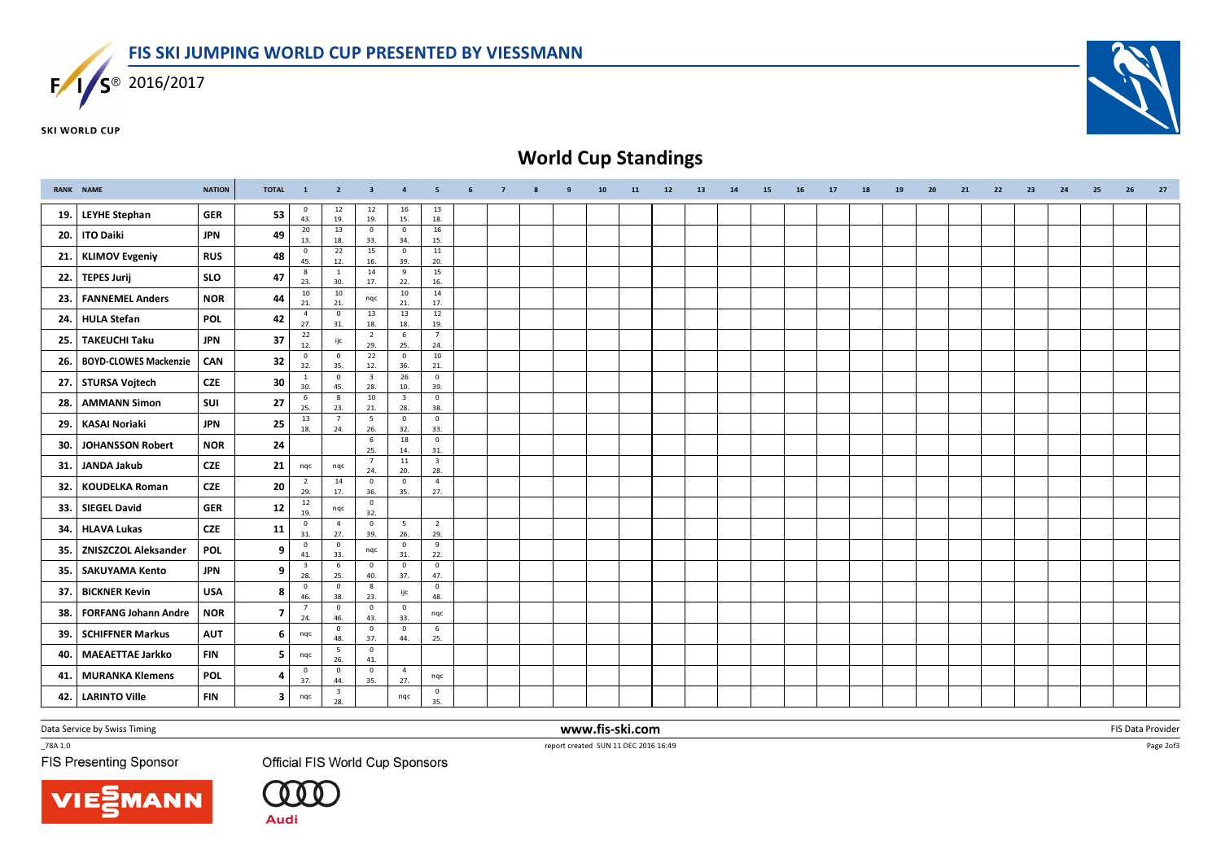

**SKI WORLD CUP** 



## World Cup Standings

|     | <b>RANK NAME</b>             | <b>NATION</b> | <b>TOTAL</b>            | $\mathbf{1}$                   | $\overline{2}$                 | $\overline{\mathbf{3}}$        | $\overline{4}$                 | 5                              | 6 | $\overline{7}$ | 8 | 9 | 10 <sub>1</sub> | 11 | 12 | 13 | 14 | 15 | 16 | 17 | 18 | 19 | 20 | 21 | 22 | 23 | 24 | 25 | 26 | 27 |
|-----|------------------------------|---------------|-------------------------|--------------------------------|--------------------------------|--------------------------------|--------------------------------|--------------------------------|---|----------------|---|---|-----------------|----|----|----|----|----|----|----|----|----|----|----|----|----|----|----|----|----|
| 19. | <b>LEYHE Stephan</b>         | <b>GER</b>    | 53                      | $\overline{\mathbf{0}}$<br>43. | 12<br>19.                      | 12<br>19.                      | 16<br>15.                      | 13<br>18.                      |   |                |   |   |                 |    |    |    |    |    |    |    |    |    |    |    |    |    |    |    |    |    |
| 20. | <b>ITO Daiki</b>             | <b>JPN</b>    | 49                      | 20<br>13.                      | 13<br>18.                      | $\mathbf{0}$<br>33.            | $\mathbf 0$<br>34.             | 16<br>15.                      |   |                |   |   |                 |    |    |    |    |    |    |    |    |    |    |    |    |    |    |    |    |    |
| 21. | <b>KLIMOV Evgeniy</b>        | <b>RUS</b>    | 48                      | $\overline{\mathbf{0}}$<br>45. | 22<br>12.                      | 15<br>16.                      | $\overline{0}$<br>39.          | 11<br>20.                      |   |                |   |   |                 |    |    |    |    |    |    |    |    |    |    |    |    |    |    |    |    |    |
| 22. | <b>TEPES Jurij</b>           | <b>SLO</b>    | 47                      | 8<br>23.                       | 1<br>30.                       | 14<br>17.                      | 9<br>22.                       | 15<br>16.                      |   |                |   |   |                 |    |    |    |    |    |    |    |    |    |    |    |    |    |    |    |    |    |
| 23. | <b>FANNEMEL Anders</b>       | <b>NOR</b>    | 44                      | 10<br>21.                      | 10<br>21.                      | nqc                            | 10<br>21.                      | 14<br>17.                      |   |                |   |   |                 |    |    |    |    |    |    |    |    |    |    |    |    |    |    |    |    |    |
| 24. | <b>HULA Stefan</b>           | <b>POL</b>    | 42                      | $\overline{4}$<br>27.          | $\overline{\mathbf{0}}$<br>31. | 13<br>18.                      | 13<br>18.                      | 12<br>19.                      |   |                |   |   |                 |    |    |    |    |    |    |    |    |    |    |    |    |    |    |    |    |    |
| 25. | <b>TAKEUCHI Taku</b>         | <b>JPN</b>    | 37                      | 22<br>12.                      | ijc                            | $\overline{2}$<br>29.          | 6<br>25.                       | $\overline{7}$<br>24.          |   |                |   |   |                 |    |    |    |    |    |    |    |    |    |    |    |    |    |    |    |    |    |
| 26. | <b>BOYD-CLOWES Mackenzie</b> | CAN           | 32                      | $\overline{\mathbf{0}}$<br>32. | $\overline{\mathbf{0}}$<br>35. | 22<br>12.                      | $\mathbf{0}$<br>36.            | 10<br>21.                      |   |                |   |   |                 |    |    |    |    |    |    |    |    |    |    |    |    |    |    |    |    |    |
| 27. | <b>STURSA Vojtech</b>        | <b>CZE</b>    | 30                      | $\mathbf{1}$<br>30.            | $\mathbf{0}$<br>45.            | $\overline{\mathbf{3}}$<br>28. | 26<br>10.                      | $\mathbf 0$<br>39.             |   |                |   |   |                 |    |    |    |    |    |    |    |    |    |    |    |    |    |    |    |    |    |
| 28. | <b>AMMANN Simon</b>          | SUI           | 27                      | 6<br>25.                       | 8<br>23.                       | 10<br>21.                      | $\overline{\mathbf{3}}$<br>28. | $\mathbf{0}$<br>38.            |   |                |   |   |                 |    |    |    |    |    |    |    |    |    |    |    |    |    |    |    |    |    |
| 29. | <b>KASAI Noriaki</b>         | <b>JPN</b>    | 25                      | 13<br>18.                      | $\overline{7}$<br>24.          | 5<br>26.                       | $\mathbf 0$<br>32.             | $\mathbf{0}$<br>33.            |   |                |   |   |                 |    |    |    |    |    |    |    |    |    |    |    |    |    |    |    |    |    |
| 30. | <b>JOHANSSON Robert</b>      | <b>NOR</b>    | 24                      |                                |                                | 6<br>25.                       | 18<br>14.                      | $\mathbf 0$<br>31.             |   |                |   |   |                 |    |    |    |    |    |    |    |    |    |    |    |    |    |    |    |    |    |
| 31. | <b>JANDA Jakub</b>           | <b>CZE</b>    | 21                      | nqc                            | nqc                            | $\overline{7}$<br>24.          | 11<br>20.                      | $\overline{\mathbf{3}}$<br>28. |   |                |   |   |                 |    |    |    |    |    |    |    |    |    |    |    |    |    |    |    |    |    |
| 32. | <b>KOUDELKA Roman</b>        | <b>CZE</b>    | 20                      | $\overline{2}$<br>29.          | 14<br>17.                      | $\mathbf 0$<br>36.             | $\overline{0}$<br>35.          | $\overline{4}$<br>27.          |   |                |   |   |                 |    |    |    |    |    |    |    |    |    |    |    |    |    |    |    |    |    |
| 33. | <b>SIEGEL David</b>          | <b>GER</b>    | 12                      | 12<br>19.                      | nqc                            | $\pmb{0}$<br>32.               |                                |                                |   |                |   |   |                 |    |    |    |    |    |    |    |    |    |    |    |    |    |    |    |    |    |
| 34. | <b>HLAVA Lukas</b>           | <b>CZE</b>    | 11                      | $\overline{0}$<br>31.          | $\overline{4}$<br>27.          | $\mathbf 0$<br>39.             | $5\overline{5}$<br>26.         | $\overline{2}$<br>29.          |   |                |   |   |                 |    |    |    |    |    |    |    |    |    |    |    |    |    |    |    |    |    |
| 35. | <b>ZNISZCZOL Aleksander</b>  | <b>POL</b>    | 9                       | $\overline{\mathbf{0}}$<br>41. | $\mathbf 0$<br>33.             | nqc                            | $\mathbf{0}$<br>31.            | 9<br>22.                       |   |                |   |   |                 |    |    |    |    |    |    |    |    |    |    |    |    |    |    |    |    |    |
| 35. | <b>SAKUYAMA Kento</b>        | <b>JPN</b>    | 9                       | $\overline{\mathbf{3}}$<br>28. | 6<br>25.                       | $\mathbf 0$<br>40.             | $\mathbf{0}$<br>37.            | $\mathbf 0$<br>47.             |   |                |   |   |                 |    |    |    |    |    |    |    |    |    |    |    |    |    |    |    |    |    |
| 37. | <b>BICKNER Kevin</b>         | <b>USA</b>    | 8                       | $\overline{0}$<br>46.          | $\mathbf 0$<br>38.             | 8<br>23.                       | ijc                            | $\mathbf 0$<br>48.             |   |                |   |   |                 |    |    |    |    |    |    |    |    |    |    |    |    |    |    |    |    |    |
| 38. | <b>FORFANG Johann Andre</b>  | <b>NOR</b>    | $\overline{7}$          | $\overline{7}$<br>24.          | $\mathbf 0$<br>46.             | $\mathbf{0}$<br>43.            | $\overline{0}$<br>33.          | nqc                            |   |                |   |   |                 |    |    |    |    |    |    |    |    |    |    |    |    |    |    |    |    |    |
| 39. | <b>SCHIFFNER Markus</b>      | <b>AUT</b>    | 6                       | nqc                            | $\mathbf{0}$<br>48.            | $\mathbf{0}$<br>37.            | $\mathbf 0$<br>44.             | 6<br>25.                       |   |                |   |   |                 |    |    |    |    |    |    |    |    |    |    |    |    |    |    |    |    |    |
| 40. | <b>MAEAETTAE Jarkko</b>      | <b>FIN</b>    | 5                       | nqc                            | 5<br>26.                       | $\overline{0}$<br>41.          |                                |                                |   |                |   |   |                 |    |    |    |    |    |    |    |    |    |    |    |    |    |    |    |    |    |
| 41. | <b>MURANKA Klemens</b>       | <b>POL</b>    | 4                       | $\overline{0}$<br>37.          | $\mathbf 0$<br>44.             | $\overline{0}$<br>35.          | $\overline{4}$<br>27.          | nqc                            |   |                |   |   |                 |    |    |    |    |    |    |    |    |    |    |    |    |    |    |    |    |    |
| 42. | <b>LARINTO Ville</b>         | <b>FIN</b>    | $\overline{\mathbf{3}}$ | nqc                            | $\overline{\mathbf{3}}$<br>28. |                                | nqc                            | $\mathbf{0}$<br>35.            |   |                |   |   |                 |    |    |    |    |    |    |    |    |    |    |    |    |    |    |    |    |    |

Data Service by Swiss Timing

\_78A 1.0

**FIS Presenting Sponsor** 

Official FIS World Cup Sponsors





 www.fis-ski.comreport created SUN 11 DEC 2016 16:49

m FIS Data Provider<br>IS 16:10

Page 2of3